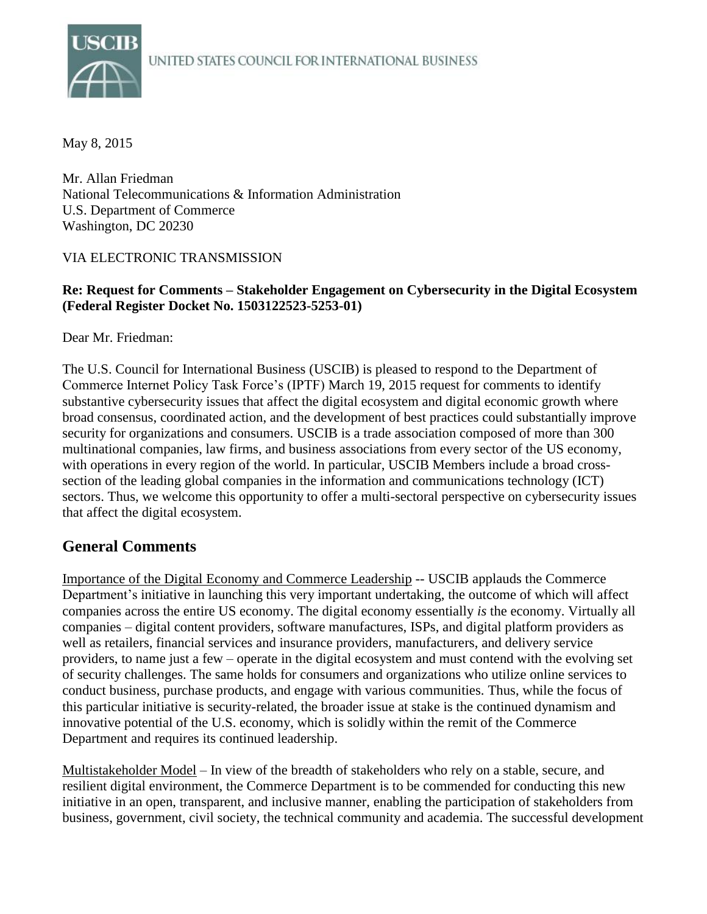

May 8, 2015

Mr. Allan Friedman National Telecommunications & Information Administration U.S. Department of Commerce Washington, DC 20230

#### VIA ELECTRONIC TRANSMISSION

#### **Re: Request for Comments – Stakeholder Engagement on Cybersecurity in the Digital Ecosystem (Federal Register Docket No. 1503122523-5253-01)**

Dear Mr. Friedman:

The U.S. Council for International Business (USCIB) is pleased to respond to the Department of Commerce Internet Policy Task Force's (IPTF) March 19, 2015 request for comments to identify substantive cybersecurity issues that affect the digital ecosystem and digital economic growth where broad consensus, coordinated action, and the development of best practices could substantially improve security for organizations and consumers. USCIB is a trade association composed of more than 300 multinational companies, law firms, and business associations from every sector of the US economy, with operations in every region of the world. In particular, USCIB Members include a broad crosssection of the leading global companies in the information and communications technology (ICT) sectors. Thus, we welcome this opportunity to offer a multi-sectoral perspective on cybersecurity issues that affect the digital ecosystem.

### **General Comments**

Importance of the Digital Economy and Commerce Leadership -- USCIB applauds the Commerce Department's initiative in launching this very important undertaking, the outcome of which will affect companies across the entire US economy. The digital economy essentially *is* the economy. Virtually all companies – digital content providers, software manufactures, ISPs, and digital platform providers as well as retailers, financial services and insurance providers, manufacturers, and delivery service providers, to name just a few – operate in the digital ecosystem and must contend with the evolving set of security challenges. The same holds for consumers and organizations who utilize online services to conduct business, purchase products, and engage with various communities. Thus, while the focus of this particular initiative is security-related, the broader issue at stake is the continued dynamism and innovative potential of the U.S. economy, which is solidly within the remit of the Commerce Department and requires its continued leadership.

Multistakeholder Model – In view of the breadth of stakeholders who rely on a stable, secure, and resilient digital environment, the Commerce Department is to be commended for conducting this new initiative in an open, transparent, and inclusive manner, enabling the participation of stakeholders from business, government, civil society, the technical community and academia. The successful development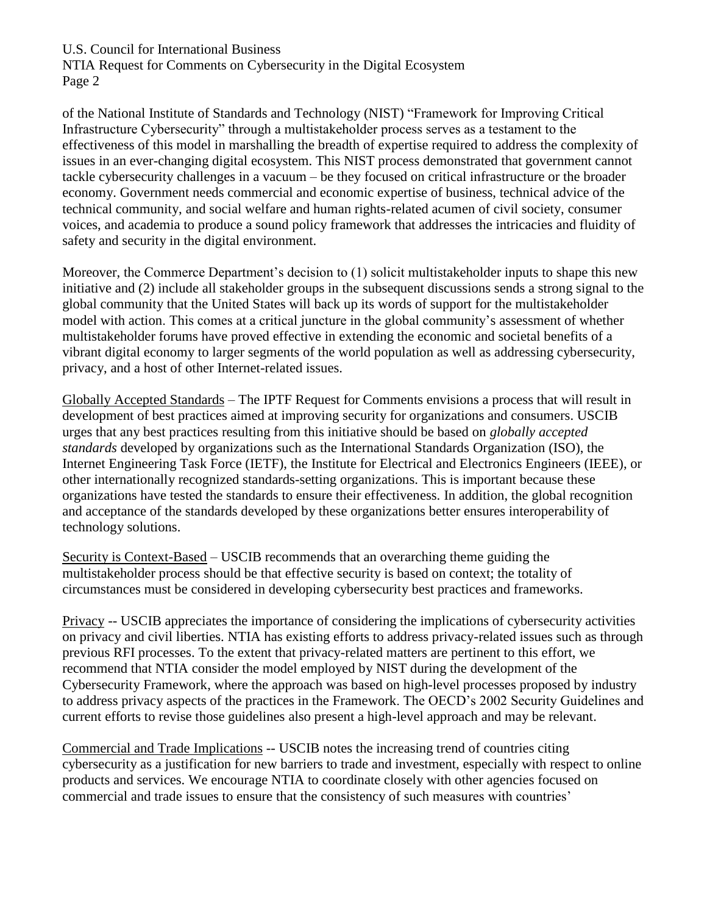NTIA Request for Comments on Cybersecurity in the Digital Ecosystem Page 2

of the National Institute of Standards and Technology (NIST) "Framework for Improving Critical Infrastructure Cybersecurity" through a multistakeholder process serves as a testament to the effectiveness of this model in marshalling the breadth of expertise required to address the complexity of issues in an ever-changing digital ecosystem. This NIST process demonstrated that government cannot tackle cybersecurity challenges in a vacuum – be they focused on critical infrastructure or the broader economy. Government needs commercial and economic expertise of business, technical advice of the technical community, and social welfare and human rights-related acumen of civil society, consumer voices, and academia to produce a sound policy framework that addresses the intricacies and fluidity of safety and security in the digital environment.

Moreover, the Commerce Department's decision to (1) solicit multistakeholder inputs to shape this new initiative and (2) include all stakeholder groups in the subsequent discussions sends a strong signal to the global community that the United States will back up its words of support for the multistakeholder model with action. This comes at a critical juncture in the global community's assessment of whether multistakeholder forums have proved effective in extending the economic and societal benefits of a vibrant digital economy to larger segments of the world population as well as addressing cybersecurity, privacy, and a host of other Internet-related issues.

Globally Accepted Standards – The IPTF Request for Comments envisions a process that will result in development of best practices aimed at improving security for organizations and consumers. USCIB urges that any best practices resulting from this initiative should be based on *globally accepted standards* developed by organizations such as the International Standards Organization (ISO), the Internet Engineering Task Force (IETF), the Institute for Electrical and Electronics Engineers (IEEE), or other internationally recognized standards-setting organizations. This is important because these organizations have tested the standards to ensure their effectiveness. In addition, the global recognition and acceptance of the standards developed by these organizations better ensures interoperability of technology solutions.

Security is Context-Based – USCIB recommends that an overarching theme guiding the multistakeholder process should be that effective security is based on context; the totality of circumstances must be considered in developing cybersecurity best practices and frameworks.

Privacy -- USCIB appreciates the importance of considering the implications of cybersecurity activities on privacy and civil liberties. NTIA has existing efforts to address privacy-related issues such as through previous RFI processes. To the extent that privacy-related matters are pertinent to this effort, we recommend that NTIA consider the model employed by NIST during the development of the Cybersecurity Framework, where the approach was based on high-level processes proposed by industry to address privacy aspects of the practices in the Framework. The OECD's 2002 Security Guidelines and current efforts to revise those guidelines also present a high-level approach and may be relevant.

Commercial and Trade Implications -- USCIB notes the increasing trend of countries citing cybersecurity as a justification for new barriers to trade and investment, especially with respect to online products and services. We encourage NTIA to coordinate closely with other agencies focused on commercial and trade issues to ensure that the consistency of such measures with countries'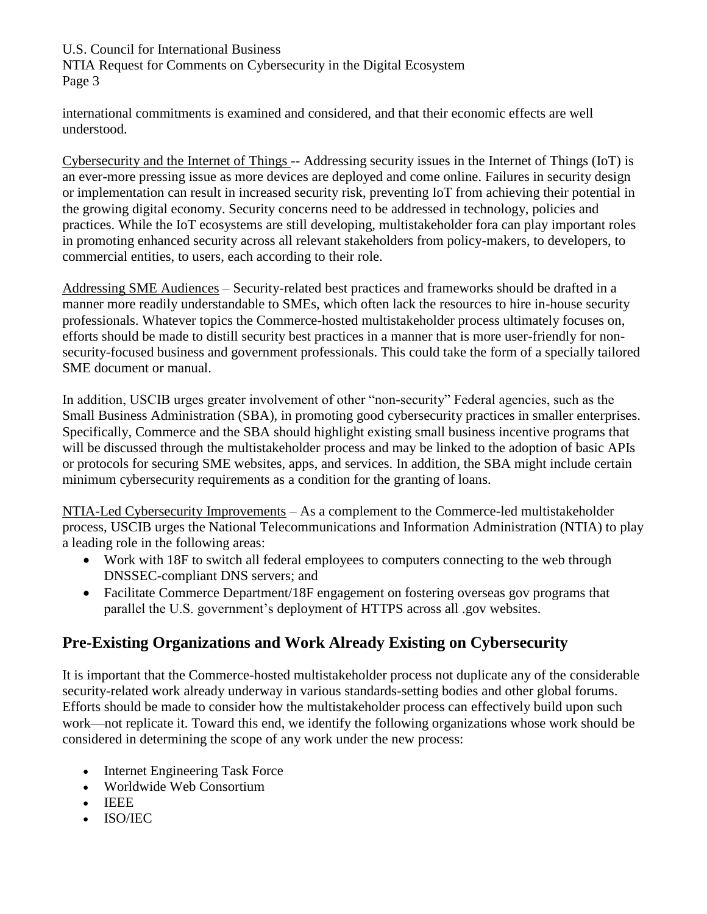NTIA Request for Comments on Cybersecurity in the Digital Ecosystem Page 3

international commitments is examined and considered, and that their economic effects are well understood.

Cybersecurity and the Internet of Things -- Addressing security issues in the Internet of Things (IoT) is an ever-more pressing issue as more devices are deployed and come online. Failures in security design or implementation can result in increased security risk, preventing IoT from achieving their potential in the growing digital economy. Security concerns need to be addressed in technology, policies and practices. While the IoT ecosystems are still developing, multistakeholder fora can play important roles in promoting enhanced security across all relevant stakeholders from policy-makers, to developers, to commercial entities, to users, each according to their role.

Addressing SME Audiences – Security-related best practices and frameworks should be drafted in a manner more readily understandable to SMEs, which often lack the resources to hire in-house security professionals. Whatever topics the Commerce-hosted multistakeholder process ultimately focuses on, efforts should be made to distill security best practices in a manner that is more user-friendly for nonsecurity-focused business and government professionals. This could take the form of a specially tailored SME document or manual.

In addition, USCIB urges greater involvement of other "non-security" Federal agencies, such as the Small Business Administration (SBA), in promoting good cybersecurity practices in smaller enterprises. Specifically, Commerce and the SBA should highlight existing small business incentive programs that will be discussed through the multistakeholder process and may be linked to the adoption of basic APIs or protocols for securing SME websites, apps, and services. In addition, the SBA might include certain minimum cybersecurity requirements as a condition for the granting of loans.

NTIA-Led Cybersecurity Improvements – As a complement to the Commerce-led multistakeholder process, USCIB urges the National Telecommunications and Information Administration (NTIA) to play a leading role in the following areas:

- Work with 18F to switch all federal employees to computers connecting to the web through DNSSEC-compliant DNS servers; and
- Facilitate Commerce Department/18F engagement on fostering overseas gov programs that parallel the U.S. government's deployment of HTTPS across all .gov websites.

# **Pre-Existing Organizations and Work Already Existing on Cybersecurity**

It is important that the Commerce-hosted multistakeholder process not duplicate any of the considerable security-related work already underway in various standards-setting bodies and other global forums. Efforts should be made to consider how the multistakeholder process can effectively build upon such work—not replicate it. Toward this end, we identify the following organizations whose work should be considered in determining the scope of any work under the new process:

- Internet Engineering Task Force
- Worldwide Web Consortium
- IEEE
- ISO/IEC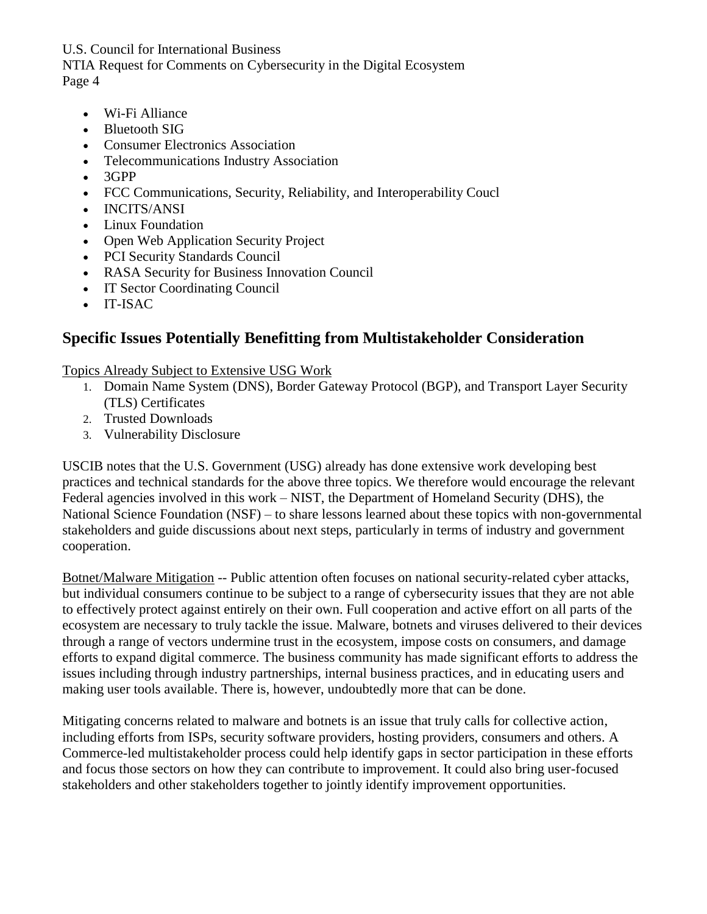NTIA Request for Comments on Cybersecurity in the Digital Ecosystem Page 4

- Wi-Fi Alliance
- Bluetooth SIG
- Consumer Electronics Association
- Telecommunications Industry Association
- 3GPP
- FCC Communications, Security, Reliability, and Interoperability Coucl
- INCITS/ANSI
- Linux Foundation
- Open Web Application Security Project
- PCI Security Standards Council
- RASA Security for Business Innovation Council
- IT Sector Coordinating Council
- IT-ISAC

## **Specific Issues Potentially Benefitting from Multistakeholder Consideration**

Topics Already Subject to Extensive USG Work

- 1. Domain Name System (DNS), Border Gateway Protocol (BGP), and Transport Layer Security (TLS) Certificates
- 2. Trusted Downloads
- 3. Vulnerability Disclosure

USCIB notes that the U.S. Government (USG) already has done extensive work developing best practices and technical standards for the above three topics. We therefore would encourage the relevant Federal agencies involved in this work – NIST, the Department of Homeland Security (DHS), the National Science Foundation (NSF) – to share lessons learned about these topics with non-governmental stakeholders and guide discussions about next steps, particularly in terms of industry and government cooperation.

Botnet/Malware Mitigation -- Public attention often focuses on national security-related cyber attacks, but individual consumers continue to be subject to a range of cybersecurity issues that they are not able to effectively protect against entirely on their own. Full cooperation and active effort on all parts of the ecosystem are necessary to truly tackle the issue. Malware, botnets and viruses delivered to their devices through a range of vectors undermine trust in the ecosystem, impose costs on consumers, and damage efforts to expand digital commerce. The business community has made significant efforts to address the issues including through industry partnerships, internal business practices, and in educating users and making user tools available. There is, however, undoubtedly more that can be done.

Mitigating concerns related to malware and botnets is an issue that truly calls for collective action, including efforts from ISPs, security software providers, hosting providers, consumers and others. A Commerce-led multistakeholder process could help identify gaps in sector participation in these efforts and focus those sectors on how they can contribute to improvement. It could also bring user-focused stakeholders and other stakeholders together to jointly identify improvement opportunities.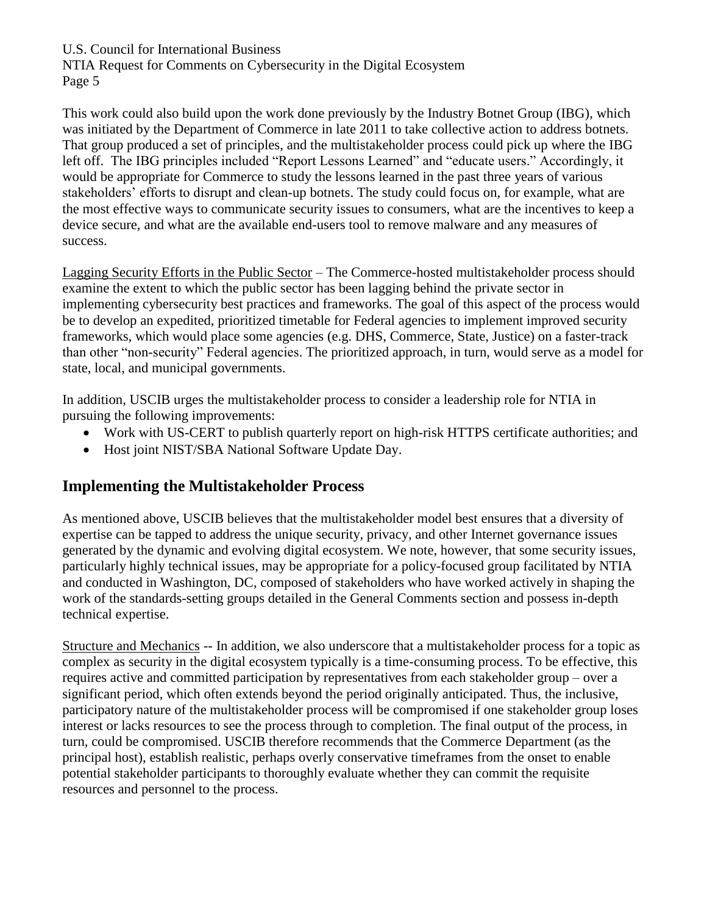NTIA Request for Comments on Cybersecurity in the Digital Ecosystem Page 5

This work could also build upon the work done previously by the Industry Botnet Group (IBG), which was initiated by the Department of Commerce in late 2011 to take collective action to address botnets. That group produced a set of principles, and the multistakeholder process could pick up where the IBG left off. The IBG principles included "Report Lessons Learned" and "educate users." Accordingly, it would be appropriate for Commerce to study the lessons learned in the past three years of various stakeholders' efforts to disrupt and clean-up botnets. The study could focus on, for example, what are the most effective ways to communicate security issues to consumers, what are the incentives to keep a device secure, and what are the available end-users tool to remove malware and any measures of success.

Lagging Security Efforts in the Public Sector – The Commerce-hosted multistakeholder process should examine the extent to which the public sector has been lagging behind the private sector in implementing cybersecurity best practices and frameworks. The goal of this aspect of the process would be to develop an expedited, prioritized timetable for Federal agencies to implement improved security frameworks, which would place some agencies (e.g. DHS, Commerce, State, Justice) on a faster-track than other "non-security" Federal agencies. The prioritized approach, in turn, would serve as a model for state, local, and municipal governments.

In addition, USCIB urges the multistakeholder process to consider a leadership role for NTIA in pursuing the following improvements:

- Work with US-CERT to publish quarterly report on high-risk HTTPS certificate authorities; and
- Host joint NIST/SBA National Software Update Day.

## **Implementing the Multistakeholder Process**

As mentioned above, USCIB believes that the multistakeholder model best ensures that a diversity of expertise can be tapped to address the unique security, privacy, and other Internet governance issues generated by the dynamic and evolving digital ecosystem. We note, however, that some security issues, particularly highly technical issues, may be appropriate for a policy-focused group facilitated by NTIA and conducted in Washington, DC, composed of stakeholders who have worked actively in shaping the work of the standards-setting groups detailed in the General Comments section and possess in-depth technical expertise.

Structure and Mechanics -- In addition, we also underscore that a multistakeholder process for a topic as complex as security in the digital ecosystem typically is a time-consuming process. To be effective, this requires active and committed participation by representatives from each stakeholder group – over a significant period, which often extends beyond the period originally anticipated. Thus, the inclusive, participatory nature of the multistakeholder process will be compromised if one stakeholder group loses interest or lacks resources to see the process through to completion. The final output of the process, in turn, could be compromised. USCIB therefore recommends that the Commerce Department (as the principal host), establish realistic, perhaps overly conservative timeframes from the onset to enable potential stakeholder participants to thoroughly evaluate whether they can commit the requisite resources and personnel to the process.